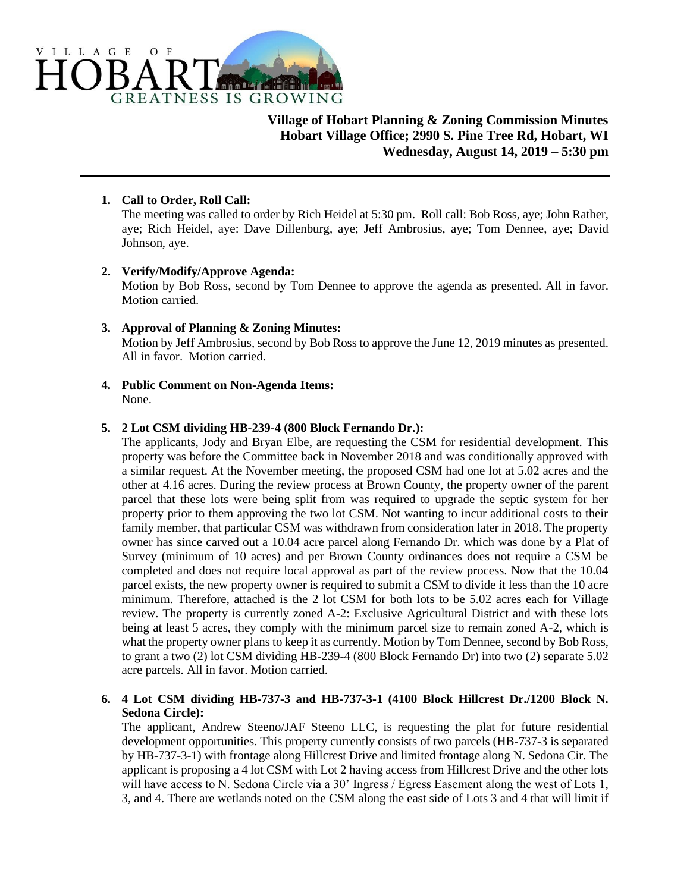

**Village of Hobart Planning & Zoning Commission Minutes Hobart Village Office; 2990 S. Pine Tree Rd, Hobart, WI Wednesday, August 14, 2019 – 5:30 pm**

# **1. Call to Order, Roll Call:**

The meeting was called to order by Rich Heidel at 5:30 pm. Roll call: Bob Ross, aye; John Rather, aye; Rich Heidel, aye: Dave Dillenburg, aye; Jeff Ambrosius, aye; Tom Dennee, aye; David Johnson, aye.

### **2. Verify/Modify/Approve Agenda:**

Motion by Bob Ross, second by Tom Dennee to approve the agenda as presented. All in favor. Motion carried.

### **3. Approval of Planning & Zoning Minutes:**

Motion by Jeff Ambrosius, second by Bob Ross to approve the June 12, 2019 minutes as presented. All in favor. Motion carried.

**4. Public Comment on Non-Agenda Items:** None.

## **5. 2 Lot CSM dividing HB-239-4 (800 Block Fernando Dr.):**

The applicants, Jody and Bryan Elbe, are requesting the CSM for residential development. This property was before the Committee back in November 2018 and was conditionally approved with a similar request. At the November meeting, the proposed CSM had one lot at 5.02 acres and the other at 4.16 acres. During the review process at Brown County, the property owner of the parent parcel that these lots were being split from was required to upgrade the septic system for her property prior to them approving the two lot CSM. Not wanting to incur additional costs to their family member, that particular CSM was withdrawn from consideration later in 2018. The property owner has since carved out a 10.04 acre parcel along Fernando Dr. which was done by a Plat of Survey (minimum of 10 acres) and per Brown County ordinances does not require a CSM be completed and does not require local approval as part of the review process. Now that the 10.04 parcel exists, the new property owner is required to submit a CSM to divide it less than the 10 acre minimum. Therefore, attached is the 2 lot CSM for both lots to be 5.02 acres each for Village review. The property is currently zoned A-2: Exclusive Agricultural District and with these lots being at least 5 acres, they comply with the minimum parcel size to remain zoned A-2, which is what the property owner plans to keep it as currently. Motion by Tom Dennee, second by Bob Ross, to grant a two (2) lot CSM dividing HB-239-4 (800 Block Fernando Dr) into two (2) separate 5.02 acre parcels. All in favor. Motion carried.

# **6. 4 Lot CSM dividing HB-737-3 and HB-737-3-1 (4100 Block Hillcrest Dr./1200 Block N. Sedona Circle):**

The applicant, Andrew Steeno/JAF Steeno LLC, is requesting the plat for future residential development opportunities. This property currently consists of two parcels (HB-737-3 is separated by HB-737-3-1) with frontage along Hillcrest Drive and limited frontage along N. Sedona Cir. The applicant is proposing a 4 lot CSM with Lot 2 having access from Hillcrest Drive and the other lots will have access to N. Sedona Circle via a 30' Ingress / Egress Easement along the west of Lots 1, 3, and 4. There are wetlands noted on the CSM along the east side of Lots 3 and 4 that will limit if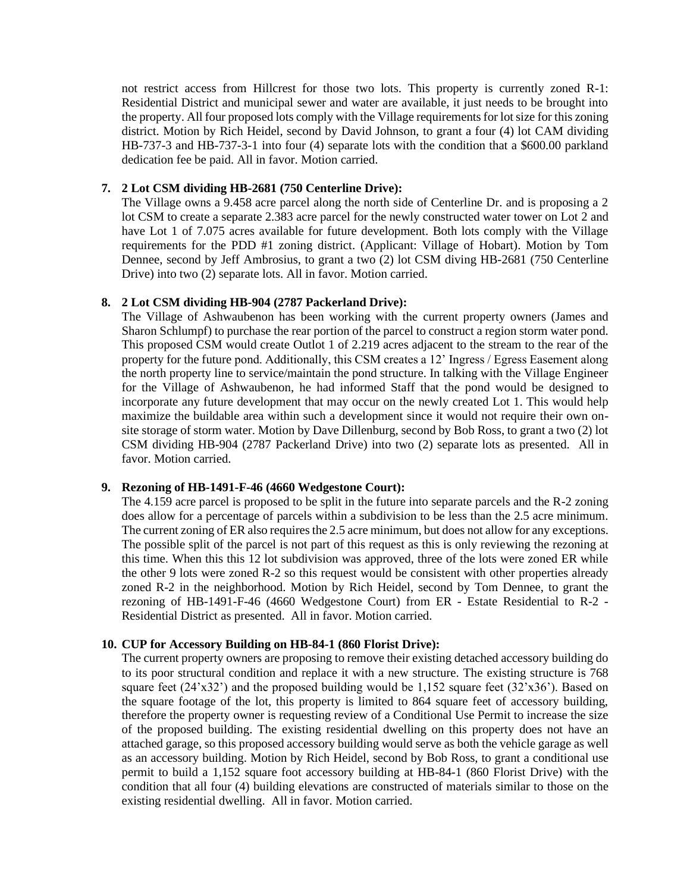not restrict access from Hillcrest for those two lots. This property is currently zoned R-1: Residential District and municipal sewer and water are available, it just needs to be brought into the property. All four proposed lots comply with the Village requirements for lot size for this zoning district. Motion by Rich Heidel, second by David Johnson, to grant a four (4) lot CAM dividing HB-737-3 and HB-737-3-1 into four (4) separate lots with the condition that a \$600.00 parkland dedication fee be paid. All in favor. Motion carried.

# **7. 2 Lot CSM dividing HB-2681 (750 Centerline Drive):**

The Village owns a 9.458 acre parcel along the north side of Centerline Dr. and is proposing a 2 lot CSM to create a separate 2.383 acre parcel for the newly constructed water tower on Lot 2 and have Lot 1 of 7.075 acres available for future development. Both lots comply with the Village requirements for the PDD #1 zoning district. (Applicant: Village of Hobart). Motion by Tom Dennee, second by Jeff Ambrosius, to grant a two (2) lot CSM diving HB-2681 (750 Centerline Drive) into two (2) separate lots. All in favor. Motion carried.

## **8. 2 Lot CSM dividing HB-904 (2787 Packerland Drive):**

The Village of Ashwaubenon has been working with the current property owners (James and Sharon Schlumpf) to purchase the rear portion of the parcel to construct a region storm water pond. This proposed CSM would create Outlot 1 of 2.219 acres adjacent to the stream to the rear of the property for the future pond. Additionally, this CSM creates a 12' Ingress / Egress Easement along the north property line to service/maintain the pond structure. In talking with the Village Engineer for the Village of Ashwaubenon, he had informed Staff that the pond would be designed to incorporate any future development that may occur on the newly created Lot 1. This would help maximize the buildable area within such a development since it would not require their own onsite storage of storm water. Motion by Dave Dillenburg, second by Bob Ross, to grant a two (2) lot CSM dividing HB-904 (2787 Packerland Drive) into two (2) separate lots as presented. All in favor. Motion carried.

### **9. Rezoning of HB-1491-F-46 (4660 Wedgestone Court):**

The 4.159 acre parcel is proposed to be split in the future into separate parcels and the R-2 zoning does allow for a percentage of parcels within a subdivision to be less than the 2.5 acre minimum. The current zoning of ER also requires the 2.5 acre minimum, but does not allow for any exceptions. The possible split of the parcel is not part of this request as this is only reviewing the rezoning at this time. When this this 12 lot subdivision was approved, three of the lots were zoned ER while the other 9 lots were zoned R-2 so this request would be consistent with other properties already zoned R-2 in the neighborhood. Motion by Rich Heidel, second by Tom Dennee, to grant the rezoning of HB-1491-F-46 (4660 Wedgestone Court) from ER - Estate Residential to R-2 - Residential District as presented. All in favor. Motion carried.

# **10. CUP for Accessory Building on HB-84-1 (860 Florist Drive):**

The current property owners are proposing to remove their existing detached accessory building do to its poor structural condition and replace it with a new structure. The existing structure is 768 square feet  $(24'x32')$  and the proposed building would be 1,152 square feet  $(32'x36')$ . Based on the square footage of the lot, this property is limited to 864 square feet of accessory building, therefore the property owner is requesting review of a Conditional Use Permit to increase the size of the proposed building. The existing residential dwelling on this property does not have an attached garage, so this proposed accessory building would serve as both the vehicle garage as well as an accessory building. Motion by Rich Heidel, second by Bob Ross, to grant a conditional use permit to build a 1,152 square foot accessory building at HB-84-1 (860 Florist Drive) with the condition that all four (4) building elevations are constructed of materials similar to those on the existing residential dwelling. All in favor. Motion carried.